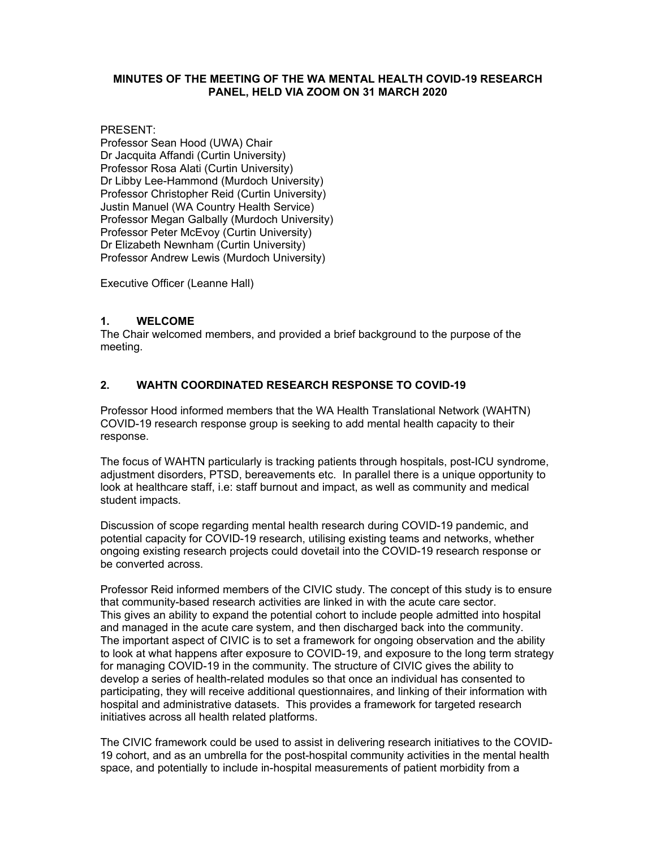## **MINUTES OF THE MEETING OF THE WA MENTAL HEALTH COVID-19 RESEARCH PANEL, HELD VIA ZOOM ON 31 MARCH 2020**

PRESENT:

Professor Sean Hood (UWA) Chair Dr Jacquita Affandi (Curtin University) Professor Rosa Alati (Curtin University) Dr Libby Lee-Hammond (Murdoch University) Professor Christopher Reid (Curtin University) Justin Manuel (WA Country Health Service) Professor Megan Galbally (Murdoch University) Professor Peter McEvoy (Curtin University) Dr Elizabeth Newnham (Curtin University) Professor Andrew Lewis (Murdoch University)

Executive Officer (Leanne Hall)

## **1. WELCOME**

The Chair welcomed members, and provided a brief background to the purpose of the meeting.

# **2. WAHTN COORDINATED RESEARCH RESPONSE TO COVID-19**

Professor Hood informed members that the WA Health Translational Network (WAHTN) COVID-19 research response group is seeking to add mental health capacity to their response.

The focus of WAHTN particularly is tracking patients through hospitals, post-ICU syndrome, adjustment disorders, PTSD, bereavements etc. In parallel there is a unique opportunity to look at healthcare staff, i.e: staff burnout and impact, as well as community and medical student impacts.

Discussion of scope regarding mental health research during COVID-19 pandemic, and potential capacity for COVID-19 research, utilising existing teams and networks, whether ongoing existing research projects could dovetail into the COVID-19 research response or be converted across.

Professor Reid informed members of the CIVIC study. The concept of this study is to ensure that community-based research activities are linked in with the acute care sector. This gives an ability to expand the potential cohort to include people admitted into hospital and managed in the acute care system, and then discharged back into the community. The important aspect of CIVIC is to set a framework for ongoing observation and the ability to look at what happens after exposure to COVID-19, and exposure to the long term strategy for managing COVID-19 in the community. The structure of CIVIC gives the ability to develop a series of health-related modules so that once an individual has consented to participating, they will receive additional questionnaires, and linking of their information with hospital and administrative datasets. This provides a framework for targeted research initiatives across all health related platforms.

The CIVIC framework could be used to assist in delivering research initiatives to the COVID-19 cohort, and as an umbrella for the post-hospital community activities in the mental health space, and potentially to include in-hospital measurements of patient morbidity from a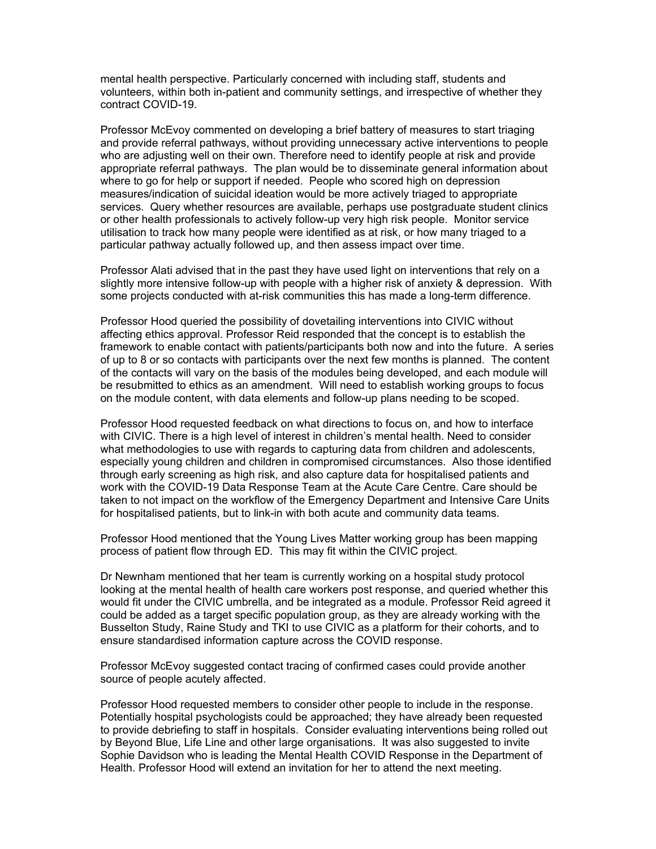mental health perspective. Particularly concerned with including staff, students and volunteers, within both in-patient and community settings, and irrespective of whether they contract COVID-19.

Professor McEvoy commented on developing a brief battery of measures to start triaging and provide referral pathways, without providing unnecessary active interventions to people who are adjusting well on their own. Therefore need to identify people at risk and provide appropriate referral pathways. The plan would be to disseminate general information about where to go for help or support if needed. People who scored high on depression measures/indication of suicidal ideation would be more actively triaged to appropriate services. Query whether resources are available, perhaps use postgraduate student clinics or other health professionals to actively follow-up very high risk people. Monitor service utilisation to track how many people were identified as at risk, or how many triaged to a particular pathway actually followed up, and then assess impact over time.

Professor Alati advised that in the past they have used light on interventions that rely on a slightly more intensive follow-up with people with a higher risk of anxiety & depression. With some projects conducted with at-risk communities this has made a long-term difference.

Professor Hood queried the possibility of dovetailing interventions into CIVIC without affecting ethics approval. Professor Reid responded that the concept is to establish the framework to enable contact with patients/participants both now and into the future. A series of up to 8 or so contacts with participants over the next few months is planned. The content of the contacts will vary on the basis of the modules being developed, and each module will be resubmitted to ethics as an amendment. Will need to establish working groups to focus on the module content, with data elements and follow-up plans needing to be scoped.

Professor Hood requested feedback on what directions to focus on, and how to interface with CIVIC. There is a high level of interest in children's mental health. Need to consider what methodologies to use with regards to capturing data from children and adolescents, especially young children and children in compromised circumstances. Also those identified through early screening as high risk, and also capture data for hospitalised patients and work with the COVID-19 Data Response Team at the Acute Care Centre. Care should be taken to not impact on the workflow of the Emergency Department and Intensive Care Units for hospitalised patients, but to link-in with both acute and community data teams.

Professor Hood mentioned that the Young Lives Matter working group has been mapping process of patient flow through ED. This may fit within the CIVIC project.

Dr Newnham mentioned that her team is currently working on a hospital study protocol looking at the mental health of health care workers post response, and queried whether this would fit under the CIVIC umbrella, and be integrated as a module. Professor Reid agreed it could be added as a target specific population group, as they are already working with the Busselton Study, Raine Study and TKI to use CIVIC as a platform for their cohorts, and to ensure standardised information capture across the COVID response.

Professor McEvoy suggested contact tracing of confirmed cases could provide another source of people acutely affected.

Professor Hood requested members to consider other people to include in the response. Potentially hospital psychologists could be approached; they have already been requested to provide debriefing to staff in hospitals. Consider evaluating interventions being rolled out by Beyond Blue, Life Line and other large organisations. It was also suggested to invite Sophie Davidson who is leading the Mental Health COVID Response in the Department of Health. Professor Hood will extend an invitation for her to attend the next meeting.